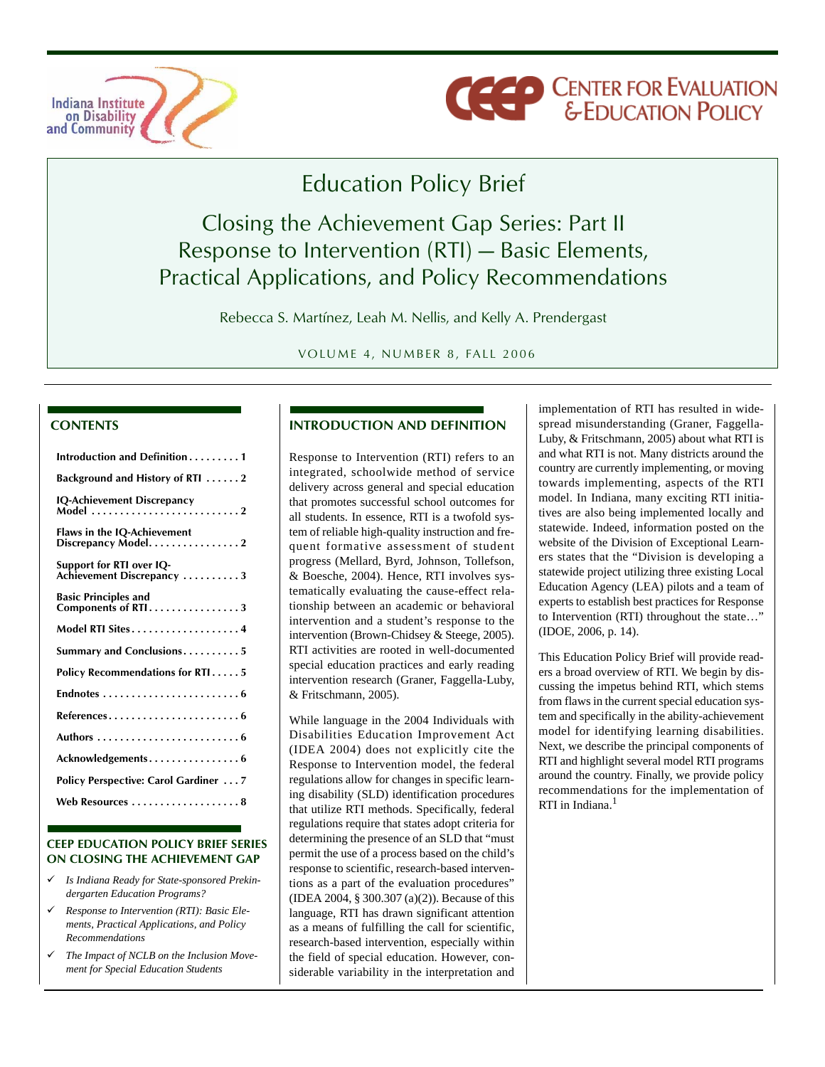



# Education Policy Brief

# Closing the Achievement Gap Series: Part II Response to Intervention (RTI) — Basic Elements, Practical Applications, and Policy Recommendations

Rebecca S. Martínez, Leah M. Nellis, and Kelly A. Prendergast

VOLUME 4, NUMBER 8, FALL 2006

#### **CONTENTS**

| Introduction and Definition1                          |
|-------------------------------------------------------|
| Background and History of RTI 2                       |
| <b>IQ-Achievement Discrepancy</b><br>Model 2          |
| Flaws in the IQ-Achievement<br>Discrepancy Model. 2   |
| Support for RTI over IQ-<br>Achievement Discrepancy 3 |
| <b>Basic Principles and</b><br>Components of RTI3     |
| Model RTI Sites4                                      |
| Summary and Conclusions5                              |
| Policy Recommendations for RTI5                       |
|                                                       |
| References6                                           |
|                                                       |
| Acknowledgements6                                     |
| <b>Policy Perspective: Carol Gardiner  7</b>          |
| Web Resources  8                                      |

#### **CEEP EDUCATION POLICY BRIEF SERIES ON CLOSING THE ACHIEVEMENT GAP**

- 9 *Is Indiana Ready for State-sponsored Prekindergarten Education Programs?*
- 9 *Response to Intervention (RTI): Basic Elements, Practical Applications, and Policy Recommendations*
- 9 *The Impact of NCLB on the Inclusion Movement for Special Education Students*

#### **INTRODUCTION AND DEFINITION**

Response to Intervention (RTI) refers to an integrated, schoolwide method of service delivery across general and special education that promotes successful school outcomes for all students. In essence, RTI is a twofold system of reliable high-quality instruction and frequent formative assessment of student progress (Mellard, Byrd, Johnson, Tollefson, & Boesche, 2004). Hence, RTI involves systematically evaluating the cause-effect relationship between an academic or behavioral intervention and a student's response to the intervention (Brown-Chidsey & Steege, 2005). RTI activities are rooted in well-documented special education practices and early reading intervention research (Graner, Faggella-Luby, & Fritschmann, 2005).

While language in the 2004 Individuals with Disabilities Education Improvement Act (IDEA 2004) does not explicitly cite the Response to Intervention model, the federal regulations allow for changes in specific learning disability (SLD) identification procedures that utilize RTI methods. Specifically, federal regulations require that states adopt criteria for determining the presence of an SLD that "must permit the use of a process based on the child's response to scientific, research-based interventions as a part of the evaluation procedures" (IDEA 2004, § 300.307 (a)(2)). Because of this language, RTI has drawn significant attention as a means of fulfilling the call for scientific, research-based intervention, especially within the field of special education. However, considerable variability in the interpretation and implementation of RTI has resulted in widespread misunderstanding (Graner, Faggella-Luby, & Fritschmann, 2005) about what RTI is and what RTI is not. Many districts around the country are currently implementing, or moving towards implementing, aspects of the RTI model. In Indiana, many exciting RTI initiatives are also being implemented locally and statewide. Indeed, information posted on the website of the Division of Exceptional Learners states that the "Division is developing a statewide project utilizing three existing Local Education Agency (LEA) pilots and a team of experts to establish best practices for Response to Intervention (RTI) throughout the state…" (IDOE, 2006, p. 14).

This Education Policy Brief will provide readers a broad overview of RTI. We begin by discussing the impetus behind RTI, which stems from flaws in the current special education system and specifically in the ability-achievement model for identifying learning disabilities. Next, we describe the principal components of RTI and highlight several model RTI programs around the country. Finally, we provide policy recommendations for the implementation of RTI in Indiana.<sup>1</sup>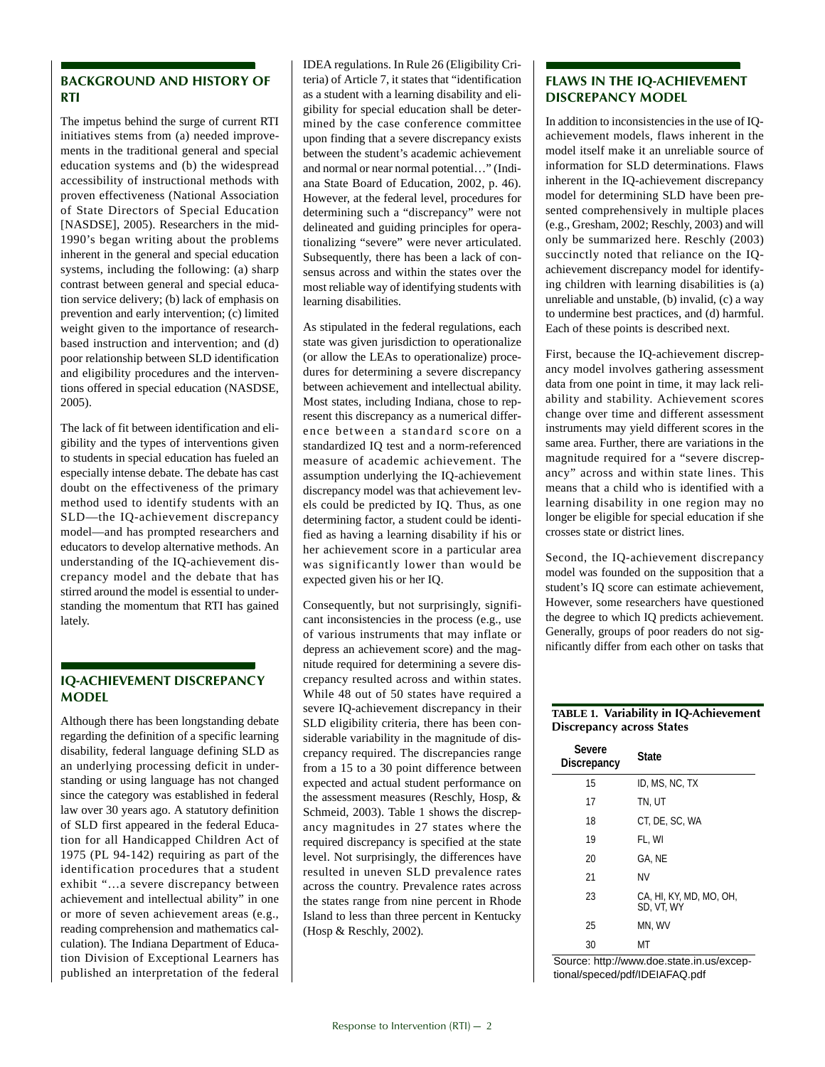#### **BACKGROUND AND HISTORY OF RTI**

The impetus behind the surge of current RTI initiatives stems from (a) needed improvements in the traditional general and special education systems and (b) the widespread accessibility of instructional methods with proven effectiveness (National Association of State Directors of Special Education [NASDSE], 2005). Researchers in the mid-1990's began writing about the problems inherent in the general and special education systems, including the following: (a) sharp contrast between general and special education service delivery; (b) lack of emphasis on prevention and early intervention; (c) limited weight given to the importance of researchbased instruction and intervention; and (d) poor relationship between SLD identification and eligibility procedures and the interventions offered in special education (NASDSE, 2005).

The lack of fit between identification and eligibility and the types of interventions given to students in special education has fueled an especially intense debate. The debate has cast doubt on the effectiveness of the primary method used to identify students with an SLD—the IQ-achievement discrepancy model—and has prompted researchers and educators to develop alternative methods. An understanding of the IQ-achievement discrepancy model and the debate that has stirred around the model is essential to understanding the momentum that RTI has gained lately.

#### **IQ-ACHIEVEMENT DISCREPANCY MODEL**

Although there has been longstanding debate regarding the definition of a specific learning disability, federal language defining SLD as an underlying processing deficit in understanding or using language has not changed since the category was established in federal law over 30 years ago. A statutory definition of SLD first appeared in the federal Education for all Handicapped Children Act of 1975 (PL 94-142) requiring as part of the identification procedures that a student exhibit "…a severe discrepancy between achievement and intellectual ability" in one or more of seven achievement areas (e.g., reading comprehension and mathematics calculation). The Indiana Department of Education Division of Exceptional Learners has published an interpretation of the federal IDEA regulations. In Rule 26 (Eligibility Criteria) of Article 7, it states that "identification as a student with a learning disability and eligibility for special education shall be determined by the case conference committee upon finding that a severe discrepancy exists between the student's academic achievement and normal or near normal potential…" (Indiana State Board of Education, 2002, p. 46). However, at the federal level, procedures for determining such a "discrepancy" were not delineated and guiding principles for operationalizing "severe" were never articulated. Subsequently, there has been a lack of consensus across and within the states over the most reliable way of identifying students with learning disabilities.

As stipulated in the federal regulations, each state was given jurisdiction to operationalize (or allow the LEAs to operationalize) procedures for determining a severe discrepancy between achievement and intellectual ability. Most states, including Indiana, chose to represent this discrepancy as a numerical difference between a standard score on a standardized IQ test and a norm-referenced measure of academic achievement. The assumption underlying the IQ-achievement discrepancy model was that achievement levels could be predicted by IQ. Thus, as one determining factor, a student could be identified as having a learning disability if his or her achievement score in a particular area was significantly lower than would be expected given his or her IQ.

Consequently, but not surprisingly, significant inconsistencies in the process (e.g., use of various instruments that may inflate or depress an achievement score) and the magnitude required for determining a severe discrepancy resulted across and within states. While 48 out of 50 states have required a severe IQ-achievement discrepancy in their SLD eligibility criteria, there has been considerable variability in the magnitude of discrepancy required. The discrepancies range from a 15 to a 30 point difference between expected and actual student performance on the assessment measures (Reschly, Hosp, & Schmeid, 2003). Table 1 shows the discrepancy magnitudes in 27 states where the required discrepancy is specified at the state level. Not surprisingly, the differences have resulted in uneven SLD prevalence rates across the country. Prevalence rates across the states range from nine percent in Rhode Island to less than three percent in Kentucky (Hosp & Reschly, 2002).

#### **FLAWS IN THE IQ-ACHIEVEMENT DISCREPANCY MODEL**

In addition to inconsistencies in the use of IQachievement models, flaws inherent in the model itself make it an unreliable source of information for SLD determinations. Flaws inherent in the IQ-achievement discrepancy model for determining SLD have been presented comprehensively in multiple places (e.g., Gresham, 2002; Reschly, 2003) and will only be summarized here. Reschly (2003) succinctly noted that reliance on the IQachievement discrepancy model for identifying children with learning disabilities is (a) unreliable and unstable, (b) invalid, (c) a way to undermine best practices, and (d) harmful. Each of these points is described next.

First, because the IQ-achievement discrepancy model involves gathering assessment data from one point in time, it may lack reliability and stability. Achievement scores change over time and different assessment instruments may yield different scores in the same area. Further, there are variations in the magnitude required for a "severe discrepancy" across and within state lines. This means that a child who is identified with a learning disability in one region may no longer be eligible for special education if she crosses state or district lines.

Second, the IQ-achievement discrepancy model was founded on the supposition that a student's IQ score can estimate achievement, However, some researchers have questioned the degree to which IQ predicts achievement. Generally, groups of poor readers do not significantly differ from each other on tasks that

#### **TABLE 1. Variability in IQ-Achievement Discrepancy across States**

| Severe<br>Discrepancy | <b>State</b>                          |
|-----------------------|---------------------------------------|
| 15                    | ID. MS. NC. TX                        |
| 17                    | TN. UT                                |
| 18                    | CT, DE, SC, WA                        |
| 19                    | FL, WI                                |
| 20                    | GA. NE                                |
| 21                    | ΝV                                    |
| 23                    | CA, HI, KY, MD, MO, OH,<br>SD. VT. WY |
| 25                    | MN, WV                                |
| 30                    | MТ                                    |

Source: http://www.doe.state.in.us/exceptional/speced/pdf/IDEIAFAQ.pdf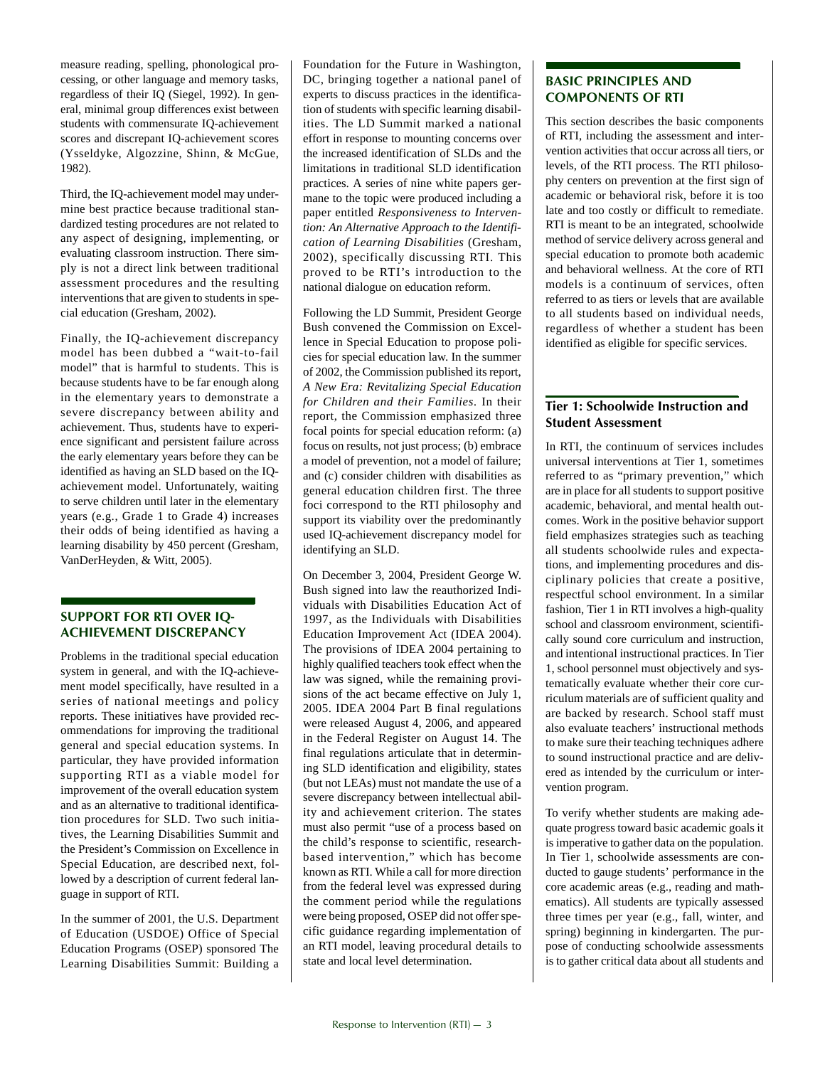measure reading, spelling, phonological processing, or other language and memory tasks, regardless of their IQ (Siegel, 1992). In general, minimal group differences exist between students with commensurate IQ-achievement scores and discrepant IQ-achievement scores (Ysseldyke, Algozzine, Shinn, & McGue, 1982).

Third, the IQ-achievement model may undermine best practice because traditional standardized testing procedures are not related to any aspect of designing, implementing, or evaluating classroom instruction. There simply is not a direct link between traditional assessment procedures and the resulting interventions that are given to students in special education (Gresham, 2002).

Finally, the IQ-achievement discrepancy model has been dubbed a "wait-to-fail model" that is harmful to students. This is because students have to be far enough along in the elementary years to demonstrate a severe discrepancy between ability and achievement. Thus, students have to experience significant and persistent failure across the early elementary years before they can be identified as having an SLD based on the IQachievement model. Unfortunately, waiting to serve children until later in the elementary years (e.g., Grade 1 to Grade 4) increases their odds of being identified as having a learning disability by 450 percent (Gresham, VanDerHeyden, & Witt, 2005).

#### **SUPPORT FOR RTI OVER IQ-ACHIEVEMENT DISCREPANCY**

Problems in the traditional special education system in general, and with the IQ-achievement model specifically, have resulted in a series of national meetings and policy reports. These initiatives have provided recommendations for improving the traditional general and special education systems. In particular, they have provided information supporting RTI as a viable model for improvement of the overall education system and as an alternative to traditional identification procedures for SLD. Two such initiatives, the Learning Disabilities Summit and the President's Commission on Excellence in Special Education, are described next, followed by a description of current federal language in support of RTI.

In the summer of 2001, the U.S. Department of Education (USDOE) Office of Special Education Programs (OSEP) sponsored The Learning Disabilities Summit: Building a Foundation for the Future in Washington, DC, bringing together a national panel of experts to discuss practices in the identification of students with specific learning disabilities. The LD Summit marked a national effort in response to mounting concerns over the increased identification of SLDs and the limitations in traditional SLD identification practices. A series of nine white papers germane to the topic were produced including a paper entitled *Responsiveness to Intervention: An Alternative Approach to the Identification of Learning Disabilities* (Gresham, 2002), specifically discussing RTI. This proved to be RTI's introduction to the national dialogue on education reform.

Following the LD Summit, President George Bush convened the Commission on Excellence in Special Education to propose policies for special education law. In the summer of 2002, the Commission published its report, *A New Era: Revitalizing Special Education for Children and their Families.* In their report, the Commission emphasized three focal points for special education reform: (a) focus on results, not just process; (b) embrace a model of prevention, not a model of failure; and (c) consider children with disabilities as general education children first. The three foci correspond to the RTI philosophy and support its viability over the predominantly used IQ-achievement discrepancy model for identifying an SLD.

On December 3, 2004, President George W. Bush signed into law the reauthorized Individuals with Disabilities Education Act of 1997, as the Individuals with Disabilities Education Improvement Act (IDEA 2004). The provisions of IDEA 2004 pertaining to highly qualified teachers took effect when the law was signed, while the remaining provisions of the act became effective on July 1, 2005. IDEA 2004 Part B final regulations were released August 4, 2006, and appeared in the Federal Register on August 14. The final regulations articulate that in determining SLD identification and eligibility, states (but not LEAs) must not mandate the use of a severe discrepancy between intellectual ability and achievement criterion. The states must also permit "use of a process based on the child's response to scientific, researchbased intervention," which has become known as RTI. While a call for more direction from the federal level was expressed during the comment period while the regulations were being proposed, OSEP did not offer specific guidance regarding implementation of an RTI model, leaving procedural details to state and local level determination.

#### **BASIC PRINCIPLES AND COMPONENTS OF RTI**

This section describes the basic components of RTI, including the assessment and intervention activities that occur across all tiers, or levels, of the RTI process. The RTI philosophy centers on prevention at the first sign of academic or behavioral risk, before it is too late and too costly or difficult to remediate. RTI is meant to be an integrated, schoolwide method of service delivery across general and special education to promote both academic and behavioral wellness. At the core of RTI models is a continuum of services, often referred to as tiers or levels that are available to all students based on individual needs, regardless of whether a student has been identified as eligible for specific services.

#### **Tier 1: Schoolwide Instruction and Student Assessment**

In RTI, the continuum of services includes universal interventions at Tier 1, sometimes referred to as "primary prevention," which are in place for all students to support positive academic, behavioral, and mental health outcomes. Work in the positive behavior support field emphasizes strategies such as teaching all students schoolwide rules and expectations, and implementing procedures and disciplinary policies that create a positive, respectful school environment. In a similar fashion, Tier 1 in RTI involves a high-quality school and classroom environment, scientifically sound core curriculum and instruction, and intentional instructional practices. In Tier 1, school personnel must objectively and systematically evaluate whether their core curriculum materials are of sufficient quality and are backed by research. School staff must also evaluate teachers' instructional methods to make sure their teaching techniques adhere to sound instructional practice and are delivered as intended by the curriculum or intervention program.

To verify whether students are making adequate progress toward basic academic goals it is imperative to gather data on the population. In Tier 1, schoolwide assessments are conducted to gauge students' performance in the core academic areas (e.g., reading and mathematics). All students are typically assessed three times per year (e.g., fall, winter, and spring) beginning in kindergarten. The purpose of conducting schoolwide assessments is to gather critical data about all students and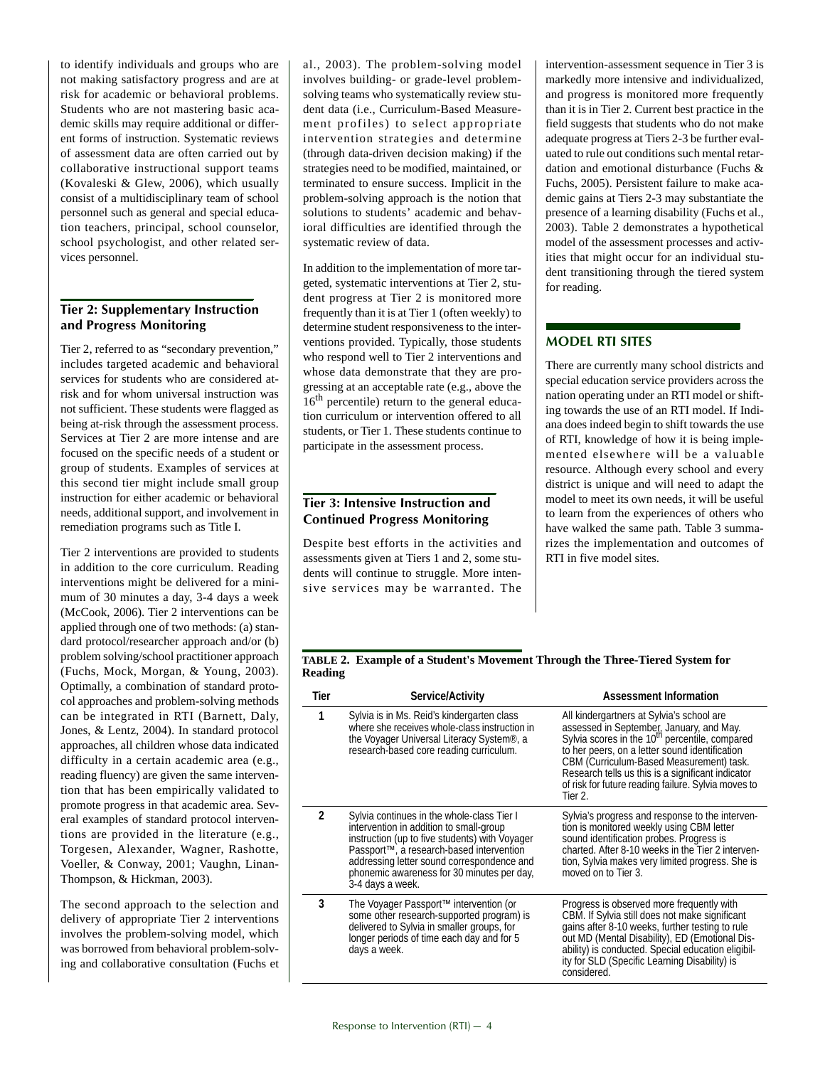to identify individuals and groups who are not making satisfactory progress and are at risk for academic or behavioral problems. Students who are not mastering basic academic skills may require additional or different forms of instruction. Systematic reviews of assessment data are often carried out by collaborative instructional support teams (Kovaleski & Glew, 2006), which usually consist of a multidisciplinary team of school personnel such as general and special education teachers, principal, school counselor, school psychologist, and other related services personnel.

#### **Tier 2: Supplementary Instruction and Progress Monitoring**

Tier 2, referred to as "secondary prevention," includes targeted academic and behavioral services for students who are considered atrisk and for whom universal instruction was not sufficient. These students were flagged as being at-risk through the assessment process. Services at Tier 2 are more intense and are focused on the specific needs of a student or group of students. Examples of services at this second tier might include small group instruction for either academic or behavioral needs, additional support, and involvement in remediation programs such as Title I.

Tier 2 interventions are provided to students in addition to the core curriculum. Reading interventions might be delivered for a minimum of 30 minutes a day, 3-4 days a week (McCook, 2006). Tier 2 interventions can be applied through one of two methods: (a) standard protocol/researcher approach and/or (b) problem solving/school practitioner approach (Fuchs, Mock, Morgan, & Young, 2003). Optimally, a combination of standard protocol approaches and problem-solving methods can be integrated in RTI (Barnett, Daly, Jones, & Lentz, 2004). In standard protocol approaches, all children whose data indicated difficulty in a certain academic area (e.g., reading fluency) are given the same intervention that has been empirically validated to promote progress in that academic area. Several examples of standard protocol interventions are provided in the literature (e.g., Torgesen, Alexander, Wagner, Rashotte, Voeller, & Conway, 2001; Vaughn, Linan-Thompson, & Hickman, 2003).

The second approach to the selection and delivery of appropriate Tier 2 interventions involves the problem-solving model, which was borrowed from behavioral problem-solving and collaborative consultation (Fuchs et

al., 2003). The problem-solving model involves building- or grade-level problemsolving teams who systematically review student data (i.e., Curriculum-Based Measurement profiles) to select appropriate intervention strategies and determine (through data-driven decision making) if the strategies need to be modified, maintained, or terminated to ensure success. Implicit in the problem-solving approach is the notion that solutions to students' academic and behavioral difficulties are identified through the systematic review of data.

In addition to the implementation of more targeted, systematic interventions at Tier 2, student progress at Tier 2 is monitored more frequently than it is at Tier 1 (often weekly) to determine student responsiveness to the interventions provided. Typically, those students who respond well to Tier 2 interventions and whose data demonstrate that they are progressing at an acceptable rate (e.g., above the  $16<sup>th</sup>$  percentile) return to the general education curriculum or intervention offered to all students, or Tier 1. These students continue to participate in the assessment process.

#### **Tier 3: Intensive Instruction and Continued Progress Monitoring**

Despite best efforts in the activities and assessments given at Tiers 1 and 2, some students will continue to struggle. More intensive services may be warranted. The intervention-assessment sequence in Tier 3 is markedly more intensive and individualized, and progress is monitored more frequently than it is in Tier 2. Current best practice in the field suggests that students who do not make adequate progress at Tiers 2-3 be further evaluated to rule out conditions such mental retardation and emotional disturbance (Fuchs & Fuchs, 2005). Persistent failure to make academic gains at Tiers 2-3 may substantiate the presence of a learning disability (Fuchs et al., 2003). Table 2 demonstrates a hypothetical model of the assessment processes and activities that might occur for an individual student transitioning through the tiered system for reading.

#### **MODEL RTI SITES**

There are currently many school districts and special education service providers across the nation operating under an RTI model or shifting towards the use of an RTI model. If Indiana does indeed begin to shift towards the use of RTI, knowledge of how it is being implemented elsewhere will be a valuable resource. Although every school and every district is unique and will need to adapt the model to meet its own needs, it will be useful to learn from the experiences of others who have walked the same path. Table 3 summarizes the implementation and outcomes of RTI in five model sites.

#### **TABLE 2. Example of a Student's Movement Through the Three-Tiered System for Reading**

| Tier          | Service/Activity                                                                                                                                                                                                                                                                                    | <b>Assessment Information</b>                                                                                                                                                                                                                                                                                                                                            |
|---------------|-----------------------------------------------------------------------------------------------------------------------------------------------------------------------------------------------------------------------------------------------------------------------------------------------------|--------------------------------------------------------------------------------------------------------------------------------------------------------------------------------------------------------------------------------------------------------------------------------------------------------------------------------------------------------------------------|
| 1             | Sylvia is in Ms. Reid's kindergarten class<br>where she receives whole-class instruction in<br>the Voyager Universal Literacy System <sup>®</sup> , a<br>research-based core reading curriculum.                                                                                                    | All kindergartners at Sylvia's school are<br>assessed in September, January, and May.<br>Sylvia scores in the 10 <sup>th</sup> percentile, compared<br>to her peers, on a letter sound identification<br>CBM (Curriculum-Based Measurement) task.<br>Research tells us this is a significant indicator<br>of risk for future reading failure. Sylvia moves to<br>Tier 2. |
| $\mathfrak z$ | Sylvia continues in the whole-class Tier I<br>intervention in addition to small-group<br>instruction (up to five students) with Voyager<br>Passport™, a research-based intervention<br>addressing letter sound correspondence and<br>phonemic awareness for 30 minutes per day,<br>3-4 days a week. | Sylvia's progress and response to the interven-<br>tion is monitored weekly using CBM letter<br>sound identification probes. Progress is<br>charted. After 8-10 weeks in the Tier 2 interven-<br>tion, Sylvia makes very limited progress. She is<br>moved on to Tier 3.                                                                                                 |
| 3             | The Voyager Passport™ intervention (or<br>some other research-supported program) is<br>delivered to Sylvia in smaller groups, for<br>longer periods of time each day and for 5<br>days a week.                                                                                                      | Progress is observed more frequently with<br>CBM. If Sylvia still does not make significant<br>gains after 8-10 weeks, further testing to rule<br>out MD (Mental Disability), ED (Emotional Dis-<br>ability) is conducted. Special education eligibil-<br>ity for SLD (Specific Learning Disability) is<br>considered.                                                   |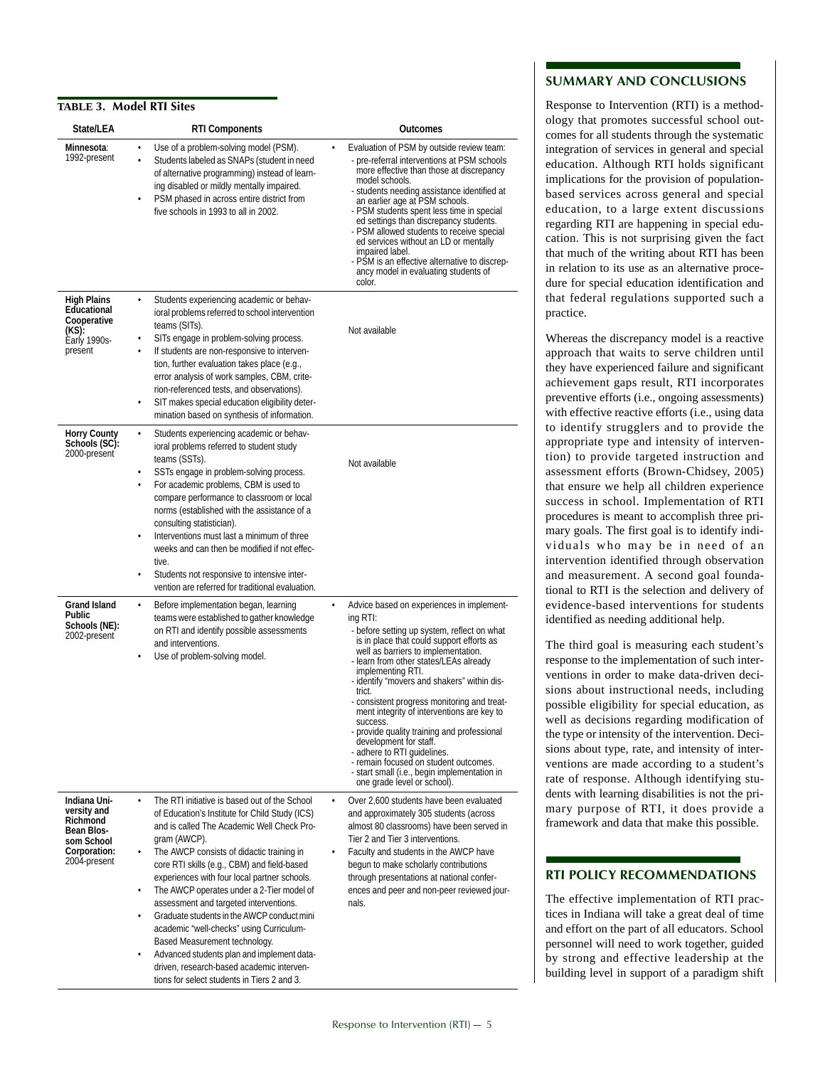#### **TABLE 3. Model RTI Sites**

| State/LEA                                                                                           | <b>RTI Components</b>                                                                                                                                                                                                                                                                                                                                                                                                                                                                                                                                                                                                                                                              | Outcomes                                                                                                                                                                                                                                                                                                                                                                                                                                                                                                                                                                                                                                                  |
|-----------------------------------------------------------------------------------------------------|------------------------------------------------------------------------------------------------------------------------------------------------------------------------------------------------------------------------------------------------------------------------------------------------------------------------------------------------------------------------------------------------------------------------------------------------------------------------------------------------------------------------------------------------------------------------------------------------------------------------------------------------------------------------------------|-----------------------------------------------------------------------------------------------------------------------------------------------------------------------------------------------------------------------------------------------------------------------------------------------------------------------------------------------------------------------------------------------------------------------------------------------------------------------------------------------------------------------------------------------------------------------------------------------------------------------------------------------------------|
| Minnesota:<br>1992-present                                                                          | Use of a problem-solving model (PSM).<br>Students labeled as SNAPs (student in need<br>of alternative programming) instead of learn-<br>ing disabled or mildly mentally impaired.<br>PSM phased in across entire district from<br>five schools in 1993 to all in 2002.                                                                                                                                                                                                                                                                                                                                                                                                             | Evaluation of PSM by outside review team:<br>- pre-referral interventions at PSM schools<br>more effective than those at discrepancy<br>model schools.<br>- students needing assistance identified at<br>an earlier age at PSM schools.<br>- PSM students spent less time in special<br>ed settings than discrepancy students.<br>- PSM allowed students to receive special<br>ed services without an LD or mentally<br>impaired label.<br>- PSM is an effective alternative to discrep-<br>ancy model in evaluating students of<br>color.                                                                                                                |
| <b>High Plains</b><br>Educational<br>Cooperative<br>(KS):<br>Early 1990s-<br>present                | Students experiencing academic or behav-<br>ioral problems referred to school intervention<br>teams (SITs).<br>SITs engage in problem-solving process.<br>If students are non-responsive to interven-<br>tion, further evaluation takes place (e.g.,<br>error analysis of work samples, CBM, crite-<br>rion-referenced tests, and observations).<br>SIT makes special education eligibility deter-<br>mination based on synthesis of information.                                                                                                                                                                                                                                  | Not available                                                                                                                                                                                                                                                                                                                                                                                                                                                                                                                                                                                                                                             |
| <b>Horry County</b><br>Schools (SC):<br>2000-present                                                | Students experiencing academic or behav-<br>ioral problems referred to student study<br>teams (SSTs).<br>SSTs engage in problem-solving process.<br>For academic problems, CBM is used to<br>$\bullet$<br>compare performance to classroom or local<br>norms (established with the assistance of a<br>consulting statistician).<br>Interventions must last a minimum of three<br>weeks and can then be modified if not effec-<br>tive.<br>Students not responsive to intensive inter-<br>vention are referred for traditional evaluation.                                                                                                                                          | Not available                                                                                                                                                                                                                                                                                                                                                                                                                                                                                                                                                                                                                                             |
| Grand Island<br>Public<br>Schools (NE):<br>2002-present                                             | Before implementation began, learning<br>teams were established to gather knowledge<br>on RTI and identify possible assessments<br>and interventions.<br>Use of problem-solving model.                                                                                                                                                                                                                                                                                                                                                                                                                                                                                             | Advice based on experiences in implement-<br>ing RTI:<br>- before setting up system, reflect on what<br>is in place that could support efforts as<br>well as barriers to implementation.<br>- learn from other states/LEAs already<br>implementing RTI.<br>- identify "movers and shakers" within dis-<br>trict.<br>- consistent progress monitoring and treat-<br>ment integrity of interventions are key to<br>success.<br>- provide quality training and professional<br>development for staff.<br>- adhere to RTI guidelines.<br>- remain focused on student outcomes.<br>- start small (i.e., begin implementation in<br>one grade level or school). |
| Indiana Uni-<br>versity and<br>Richmond<br>Bean Blos-<br>som School<br>Corporation:<br>2004-present | The RTI initiative is based out of the School<br>of Education's Institute for Child Study (ICS)<br>and is called The Academic Well Check Pro-<br>gram (AWCP).<br>The AWCP consists of didactic training in<br>core RTI skills (e.g., CBM) and field-based<br>experiences with four local partner schools.<br>The AWCP operates under a 2-Tier model of<br>assessment and targeted interventions.<br>Graduate students in the AWCP conduct mini<br>$\bullet$<br>academic "well-checks" using Curriculum-<br>Based Measurement technology.<br>Advanced students plan and implement data-<br>driven, research-based academic interven-<br>tions for select students in Tiers 2 and 3. | Over 2,600 students have been evaluated<br>and approximately 305 students (across<br>almost 80 classrooms) have been served in<br>Tier 2 and Tier 3 interventions.<br>Faculty and students in the AWCP have<br>begun to make scholarly contributions<br>through presentations at national confer-<br>ences and peer and non-peer reviewed jour-<br>nals.                                                                                                                                                                                                                                                                                                  |

#### **SUMMARY AND CONCLUSIONS**

Response to Intervention (RTI) is a methodology that promotes successful school outcomes for all students through the systematic integration of services in general and special education. Although RTI holds significant implications for the provision of populationbased services across general and special education, to a large extent discussions regarding RTI are happening in special education. This is not surprising given the fact that much of the writing about RTI has been in relation to its use as an alternative procedure for special education identification and that federal regulations supported such a practice.

Whereas the discrepancy model is a reactive approach that waits to serve children until they have experienced failure and significant achievement gaps result, RTI incorporates preventive efforts (i.e., ongoing assessments) with effective reactive efforts (i.e., using data to identify strugglers and to provide the appropriate type and intensity of intervention) to provide targeted instruction and assessment efforts (Brown-Chidsey, 2005) that ensure we help all children experience success in school. Implementation of RTI procedures is meant to accomplish three primary goals. The first goal is to identify individuals who may be in need of an intervention identified through observation and measurement. A second goal foundational to RTI is the selection and delivery of evidence-based interventions for students identified as needing additional help.

The third goal is measuring each student's response to the implementation of such interventions in order to make data-driven decisions about instructional needs, including possible eligibility for special education, as well as decisions regarding modification of the type or intensity of the intervention. Decisions about type, rate, and intensity of interventions are made according to a student's rate of response. Although identifying students with learning disabilities is not the primary purpose of RTI, it does provide a framework and data that make this possible.

#### **RTI POLICY RECOMMENDATIONS**

The effective implementation of RTI practices in Indiana will take a great deal of time and effort on the part of all educators. School personnel will need to work together, guided by strong and effective leadership at the building level in support of a paradigm shift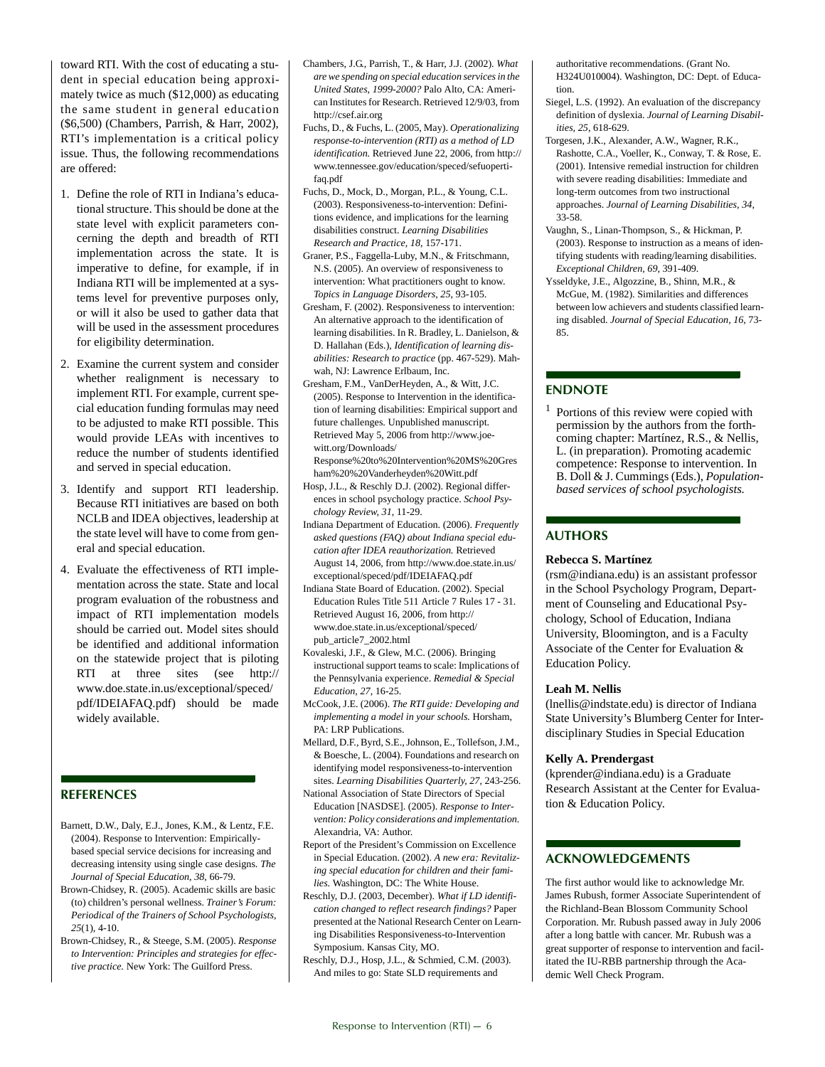toward RTI. With the cost of educating a student in special education being approximately twice as much (\$12,000) as educating the same student in general education (\$6,500) (Chambers, Parrish, & Harr, 2002), RTI's implementation is a critical policy issue. Thus, the following recommendations are offered:

- 1. Define the role of RTI in Indiana's educational structure. This should be done at the state level with explicit parameters concerning the depth and breadth of RTI implementation across the state. It is imperative to define, for example, if in Indiana RTI will be implemented at a systems level for preventive purposes only, or will it also be used to gather data that will be used in the assessment procedures for eligibility determination.
- 2. Examine the current system and consider whether realignment is necessary to implement RTI. For example, current special education funding formulas may need to be adjusted to make RTI possible. This would provide LEAs with incentives to reduce the number of students identified and served in special education.
- 3. Identify and support RTI leadership. Because RTI initiatives are based on both NCLB and IDEA objectives, leadership at the state level will have to come from general and special education.
- 4. Evaluate the effectiveness of RTI implementation across the state. State and local program evaluation of the robustness and impact of RTI implementation models should be carried out. Model sites should be identified and additional information on the statewide project that is piloting RTI at three sites (see http:// www.doe.state.in.us/exceptional/speced/ pdf/IDEIAFAQ.pdf) should be made widely available.

#### **REFERENCES**

- Barnett, D.W., Daly, E.J., Jones, K.M., & Lentz, F.E. (2004). Response to Intervention: Empiricallybased special service decisions for increasing and decreasing intensity using single case designs. *The Journal of Special Education, 38*, 66-79.
- Brown-Chidsey, R. (2005). Academic skills are basic (to) children's personal wellness. *Trainer's Forum: Periodical of the Trainers of School Psychologists, 25*(1), 4-10.
- Brown-Chidsey, R., & Steege, S.M. (2005). *Response to Intervention: Principles and strategies for effective practice.* New York: The Guilford Press.
- Chambers, J.G., Parrish, T., & Harr, J.J. (2002). *What are we spending on special education services in the United States, 1999-2000?* Palo Alto, CA: American Institutes for Research. Retrieved 12/9/03, from http://csef.air.org
- Fuchs, D., & Fuchs, L. (2005, May). *Operationalizing response-to-intervention (RTI) as a method of LD identification.* Retrieved June 22, 2006, from http:// www.tennessee.gov/education/speced/sefuopertifaq.pdf
- Fuchs, D., Mock, D., Morgan, P.L., & Young, C.L. (2003). Responsiveness-to-intervention: Definitions evidence, and implications for the learning disabilities construct. *Learning Disabilities Research and Practice, 18*, 157-171.
- Graner, P.S., Faggella-Luby, M.N., & Fritschmann, N.S. (2005). An overview of responsiveness to intervention: What practitioners ought to know. *Topics in Language Disorders, 25*, 93-105.
- Gresham, F. (2002). Responsiveness to intervention: An alternative approach to the identification of learning disabilities. In R. Bradley, L. Danielson, & D. Hallahan (Eds.), *Identification of learning disabilities: Research to practice* (pp. 467-529). Mahwah, NJ: Lawrence Erlbaum, Inc.
- Gresham, F.M., VanDerHeyden, A., & Witt, J.C. (2005). Response to Intervention in the identification of learning disabilities: Empirical support and future challenges. Unpublished manuscript. Retrieved May 5, 2006 from http://www.joewitt.org/Downloads/

Response%20to%20Intervention%20MS%20Gres ham%20%20Vanderheyden%20Witt.pdf

- Hosp, J.L., & Reschly D.J. (2002). Regional differences in school psychology practice. *School Psychology Review, 31*, 11-29.
- Indiana Department of Education. (2006). *Frequently asked questions (FAQ) about Indiana special education after IDEA reauthorization.* Retrieved August 14, 2006, from http://www.doe.state.in.us/ exceptional/speced/pdf/IDEIAFAQ.pdf
- Indiana State Board of Education. (2002). Special Education Rules Title 511 Article 7 Rules 17 - 31. Retrieved August 16, 2006, from http:// www.doe.state.in.us/exceptional/speced/ pub\_article7\_2002.html
- Kovaleski, J.F., & Glew, M.C. (2006). Bringing instructional support teams to scale: Implications of the Pennsylvania experience. *Remedial & Special Education, 27*, 16-25.
- McCook, J.E. (2006). *The RTI guide: Developing and implementing a model in your schools.* Horsham, PA: LRP Publications.
- Mellard, D.F., Byrd, S.E., Johnson, E., Tollefson, J.M., & Boesche, L. (2004). Foundations and research on identifying model responsiveness-to-intervention sites. *Learning Disabilities Quarterly, 27*, 243-256.
- National Association of State Directors of Special Education [NASDSE]. (2005). *Response to Intervention: Policy considerations and implementation*. Alexandria, VA: Author.
- Report of the President's Commission on Excellence in Special Education. (2002). *A new era: Revitalizing special education for children and their families.* Washington, DC: The White House.
- Reschly, D.J. (2003, December). *What if LD identification changed to reflect research findings?* Paper presented at the National Research Center on Learning Disabilities Responsiveness-to-Intervention Symposium. Kansas City, MO.
- Reschly, D.J., Hosp, J.L., & Schmied, C.M. (2003). And miles to go: State SLD requirements and

authoritative recommendations. (Grant No. H324U010004). Washington, DC: Dept. of Education.

- Siegel, L.S. (1992). An evaluation of the discrepancy definition of dyslexia. *Journal of Learning Disabilities, 25*, 618-629.
- Torgesen, J.K., Alexander, A.W., Wagner, R.K., Rashotte, C.A., Voeller, K., Conway, T. & Rose, E. (2001). Intensive remedial instruction for children with severe reading disabilities: Immediate and long-term outcomes from two instructional approaches. *Journal of Learning Disabilities, 34*, 33-58.
- Vaughn, S., Linan-Thompson, S., & Hickman, P. (2003). Response to instruction as a means of identifying students with reading/learning disabilities. *Exceptional Children, 69*, 391-409.
- Ysseldyke, J.E., Algozzine, B., Shinn, M.R., & McGue, M. (1982). Similarities and differences between low achievers and students classified learning disabled. *Journal of Special Education, 16*, 73- 85.

#### **ENDNOTE**

<sup>1</sup> Portions of this review were copied with permission by the authors from the forthcoming chapter: Martínez, R.S., & Nellis, L. (in preparation). Promoting academic competence: Response to intervention. In B. Doll & J. Cummings (Eds.), *Populationbased services of school psychologists.* 

#### **AUTHORS**

#### **Rebecca S. Martínez**

(rsm@indiana.edu) is an assistant professor in the School Psychology Program, Department of Counseling and Educational Psychology, School of Education, Indiana University, Bloomington, and is a Faculty Associate of the Center for Evaluation & Education Policy.

#### **Leah M. Nellis**

(lnellis@indstate.edu) is director of Indiana State University's Blumberg Center for Interdisciplinary Studies in Special Education

#### **Kelly A. Prendergast**

(kprender@indiana.edu) is a Graduate Research Assistant at the Center for Evaluation & Education Policy.

#### **ACKNOWLEDGEMENTS**

The first author would like to acknowledge Mr. James Rubush, former Associate Superintendent of the Richland-Bean Blossom Community School Corporation. Mr. Rubush passed away in July 2006 after a long battle with cancer. Mr. Rubush was a great supporter of response to intervention and facilitated the IU-RBB partnership through the Academic Well Check Program.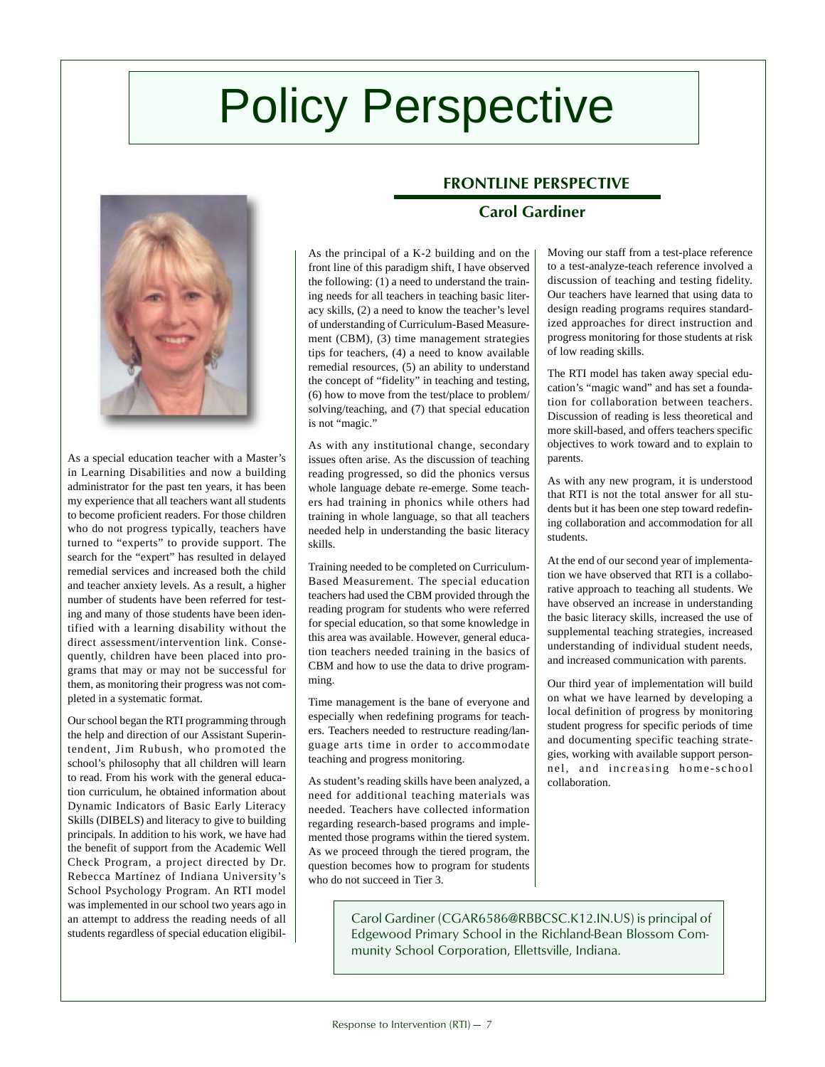# Policy Perspective



As a special education teacher with a Master's in Learning Disabilities and now a building administrator for the past ten years, it has been my experience that all teachers want all students to become proficient readers. For those children who do not progress typically, teachers have turned to "experts" to provide support. The search for the "expert" has resulted in delayed remedial services and increased both the child and teacher anxiety levels. As a result, a higher number of students have been referred for testing and many of those students have been identified with a learning disability without the direct assessment/intervention link. Consequently, children have been placed into programs that may or may not be successful for them, as monitoring their progress was not completed in a systematic format.

Our school began the RTI programming through the help and direction of our Assistant Superintendent, Jim Rubush, who promoted the school's philosophy that all children will learn to read. From his work with the general education curriculum, he obtained information about Dynamic Indicators of Basic Early Literacy Skills (DIBELS) and literacy to give to building principals. In addition to his work, we have had the benefit of support from the Academic Well Check Program, a project directed by Dr. Rebecca Martínez of Indiana University's School Psychology Program. An RTI model was implemented in our school two years ago in an attempt to address the reading needs of all students regardless of special education eligibil-

#### As the principal of a K-2 building and on the front line of this paradigm shift, I have observed the following: (1) a need to understand the training needs for all teachers in teaching basic literacy skills, (2) a need to know the teacher's level of understanding of Curriculum-Based Measurement (CBM), (3) time management strategies tips for teachers, (4) a need to know available remedial resources, (5) an ability to understand the concept of "fidelity" in teaching and testing, (6) how to move from the test/place to problem/ solving/teaching, and (7) that special education is not "magic."

As with any institutional change, secondary issues often arise. As the discussion of teaching reading progressed, so did the phonics versus whole language debate re-emerge. Some teachers had training in phonics while others had training in whole language, so that all teachers needed help in understanding the basic literacy skills.

Training needed to be completed on Curriculum-Based Measurement. The special education teachers had used the CBM provided through the reading program for students who were referred for special education, so that some knowledge in this area was available. However, general education teachers needed training in the basics of CBM and how to use the data to drive programming.

Time management is the bane of everyone and especially when redefining programs for teachers. Teachers needed to restructure reading/language arts time in order to accommodate teaching and progress monitoring.

As student's reading skills have been analyzed, a need for additional teaching materials was needed. Teachers have collected information regarding research-based programs and implemented those programs within the tiered system. As we proceed through the tiered program, the question becomes how to program for students who do not succeed in Tier 3.

## **FRONTLINE PERSPECTIVE**

## **Carol Gardiner**

Moving our staff from a test-place reference to a test-analyze-teach reference involved a discussion of teaching and testing fidelity. Our teachers have learned that using data to design reading programs requires standardized approaches for direct instruction and progress monitoring for those students at risk of low reading skills.

The RTI model has taken away special education's "magic wand" and has set a foundation for collaboration between teachers. Discussion of reading is less theoretical and more skill-based, and offers teachers specific objectives to work toward and to explain to parents.

As with any new program, it is understood that RTI is not the total answer for all students but it has been one step toward redefining collaboration and accommodation for all students.

At the end of our second year of implementation we have observed that RTI is a collaborative approach to teaching all students. We have observed an increase in understanding the basic literacy skills, increased the use of supplemental teaching strategies, increased understanding of individual student needs, and increased communication with parents.

Our third year of implementation will build on what we have learned by developing a local definition of progress by monitoring student progress for specific periods of time and documenting specific teaching strategies, working with available support personnel, and increasing home-school collaboration.

Carol Gardiner (CGAR6586@RBBCSC.K12.IN.US) is principal of Edgewood Primary School in the Richland-Bean Blossom Community School Corporation, Ellettsville, Indiana.